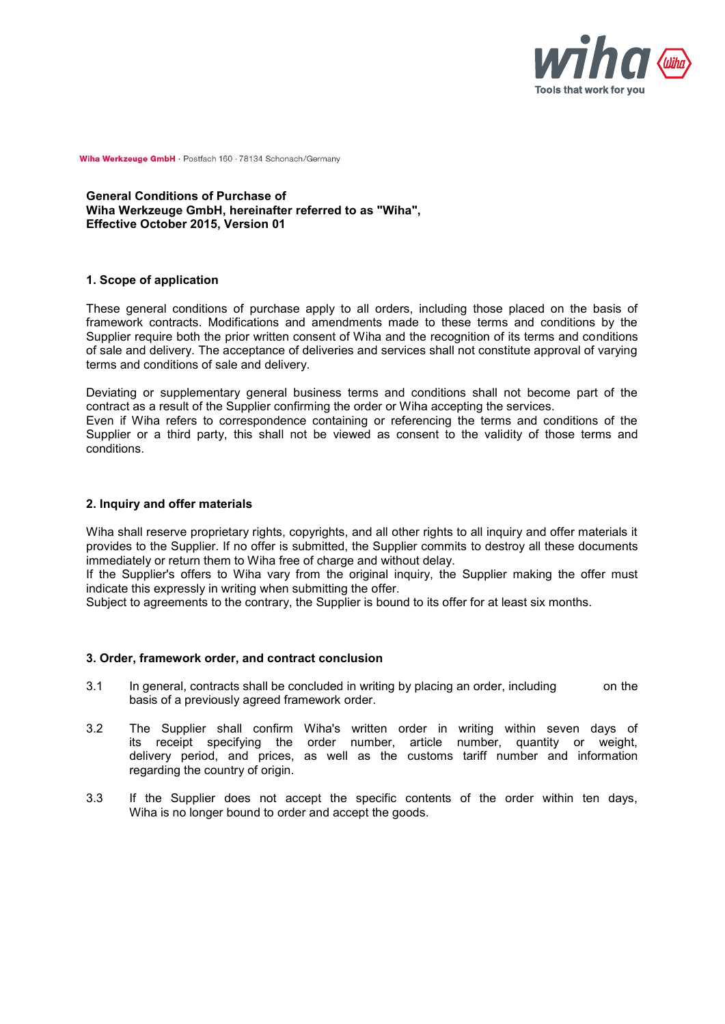

**General Conditions of Purchase of Wiha Werkzeuge GmbH, hereinafter referred to as "Wiha", Effective October 2015, Version 01**

## **1. Scope of application**

These general conditions of purchase apply to all orders, including those placed on the basis of framework contracts. Modifications and amendments made to these terms and conditions by the Supplier require both the prior written consent of Wiha and the recognition of its terms and conditions of sale and delivery. The acceptance of deliveries and services shall not constitute approval of varying terms and conditions of sale and delivery.

Deviating or supplementary general business terms and conditions shall not become part of the contract as a result of the Supplier confirming the order or Wiha accepting the services.

Even if Wiha refers to correspondence containing or referencing the terms and conditions of the Supplier or a third party, this shall not be viewed as consent to the validity of those terms and conditions.

#### **2. Inquiry and offer materials**

Wiha shall reserve proprietary rights, copyrights, and all other rights to all inquiry and offer materials it provides to the Supplier. If no offer is submitted, the Supplier commits to destroy all these documents immediately or return them to Wiha free of charge and without delay.

If the Supplier's offers to Wiha vary from the original inquiry, the Supplier making the offer must indicate this expressly in writing when submitting the offer.

Subject to agreements to the contrary, the Supplier is bound to its offer for at least six months.

#### **3. Order, framework order, and contract conclusion**

- 3.1 In general, contracts shall be concluded in writing by placing an order, including on the basis of a previously agreed framework order.
- 3.2 The Supplier shall confirm Wiha's written order in writing within seven days of its receipt specifying the order number, article number, quantity or weight, delivery period, and prices, as well as the customs tariff number and information regarding the country of origin.
- 3.3 If the Supplier does not accept the specific contents of the order within ten days, Wiha is no longer bound to order and accept the goods.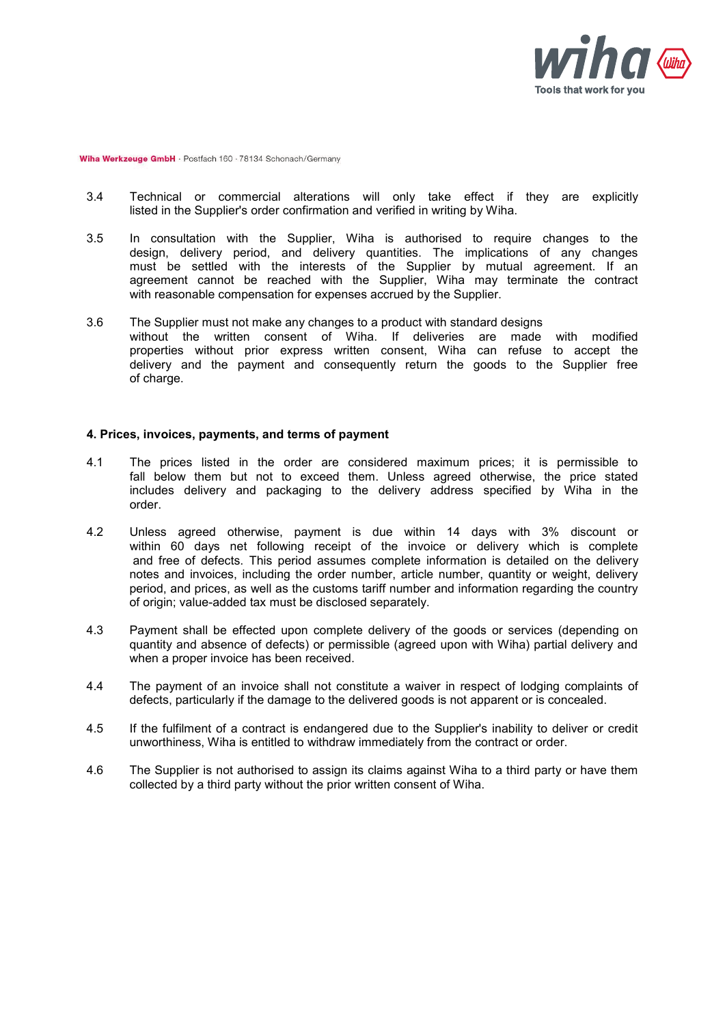

- 3.4 Technical or commercial alterations will only take effect if they are explicitly listed in the Supplier's order confirmation and verified in writing by Wiha.
- 3.5 In consultation with the Supplier, Wiha is authorised to require changes to the design, delivery period, and delivery quantities. The implications of any changes must be settled with the interests of the Supplier by mutual agreement. If an agreement cannot be reached with the Supplier, Wiha may terminate the contract with reasonable compensation for expenses accrued by the Supplier.
- 3.6 The Supplier must not make any changes to a product with standard designs without the written consent of Wiha. If deliveries are made with modified properties without prior express written consent, Wiha can refuse to accept the delivery and the payment and consequently return the goods to the Supplier free of charge.

# **4. Prices, invoices, payments, and terms of payment**

- 4.1 The prices listed in the order are considered maximum prices; it is permissible to fall below them but not to exceed them. Unless agreed otherwise, the price stated includes delivery and packaging to the delivery address specified by Wiha in the order.
- 4.2 Unless agreed otherwise, payment is due within 14 days with 3% discount or within 60 days net following receipt of the invoice or delivery which is complete and free of defects. This period assumes complete information is detailed on the delivery notes and invoices, including the order number, article number, quantity or weight, delivery period, and prices, as well as the customs tariff number and information regarding the country of origin; value-added tax must be disclosed separately.
- 4.3 Payment shall be effected upon complete delivery of the goods or services (depending on quantity and absence of defects) or permissible (agreed upon with Wiha) partial delivery and when a proper invoice has been received.
- 4.4 The payment of an invoice shall not constitute a waiver in respect of lodging complaints of defects, particularly if the damage to the delivered goods is not apparent or is concealed.
- 4.5 If the fulfilment of a contract is endangered due to the Supplier's inability to deliver or credit unworthiness, Wiha is entitled to withdraw immediately from the contract or order.
- 4.6 The Supplier is not authorised to assign its claims against Wiha to a third party or have them collected by a third party without the prior written consent of Wiha.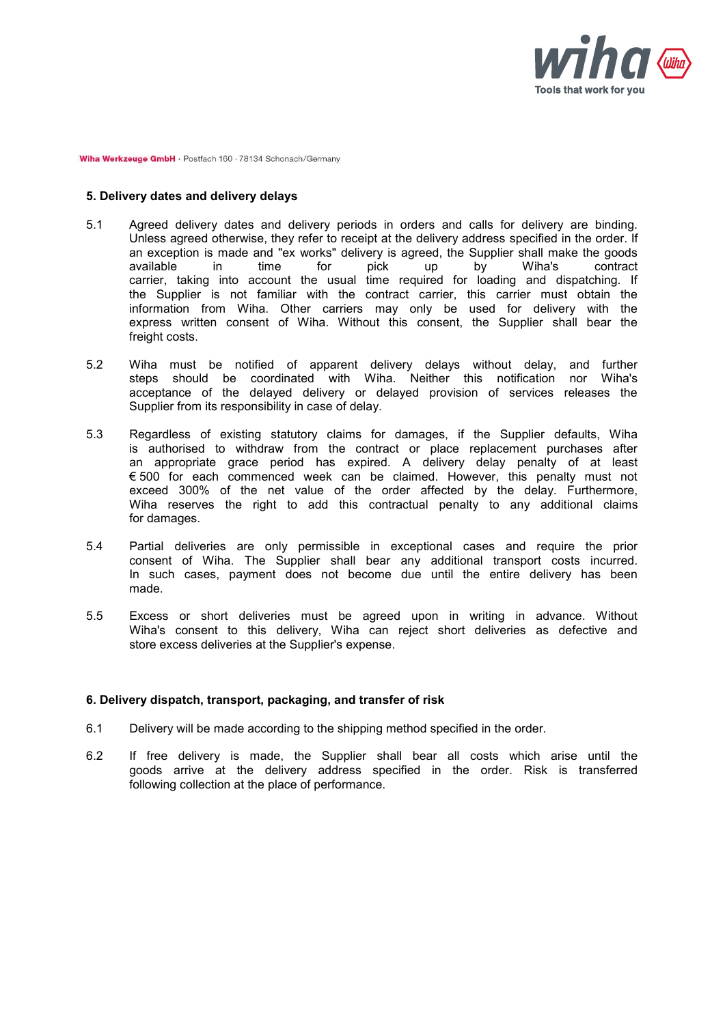

## **5. Delivery dates and delivery delays**

- 5.1 Agreed delivery dates and delivery periods in orders and calls for delivery are binding. Unless agreed otherwise, they refer to receipt at the delivery address specified in the order. If an exception is made and "ex works" delivery is agreed, the Supplier shall make the goods available in time for pick up by Wiha's contract available in time for pick up by Wiha's contract carrier, taking into account the usual time required for loading and dispatching. If the Supplier is not familiar with the contract carrier, this carrier must obtain the information from Wiha. Other carriers may only be used for delivery with the express written consent of Wiha. Without this consent, the Supplier shall bear the freight costs.
- 5.2 Wiha must be notified of apparent delivery delays without delay, and further steps should be coordinated with Wiha. Neither this notification nor Wiha's acceptance of the delayed delivery or delayed provision of services releases the Supplier from its responsibility in case of delay.
- 5.3 Regardless of existing statutory claims for damages, if the Supplier defaults, Wiha is authorised to withdraw from the contract or place replacement purchases after an appropriate grace period has expired. A delivery delay penalty of at least € 500 for each commenced week can be claimed. However, this penalty must not exceed 300% of the net value of the order affected by the delay. Furthermore, Wiha reserves the right to add this contractual penalty to any additional claims for damages.
- 5.4 Partial deliveries are only permissible in exceptional cases and require the prior consent of Wiha. The Supplier shall bear any additional transport costs incurred. In such cases, payment does not become due until the entire delivery has been made.
- 5.5 Excess or short deliveries must be agreed upon in writing in advance. Without Wiha's consent to this delivery, Wiha can reject short deliveries as defective and store excess deliveries at the Supplier's expense.

## **6. Delivery dispatch, transport, packaging, and transfer of risk**

- 6.1 Delivery will be made according to the shipping method specified in the order.
- 6.2 If free delivery is made, the Supplier shall bear all costs which arise until the goods arrive at the delivery address specified in the order. Risk is transferred following collection at the place of performance.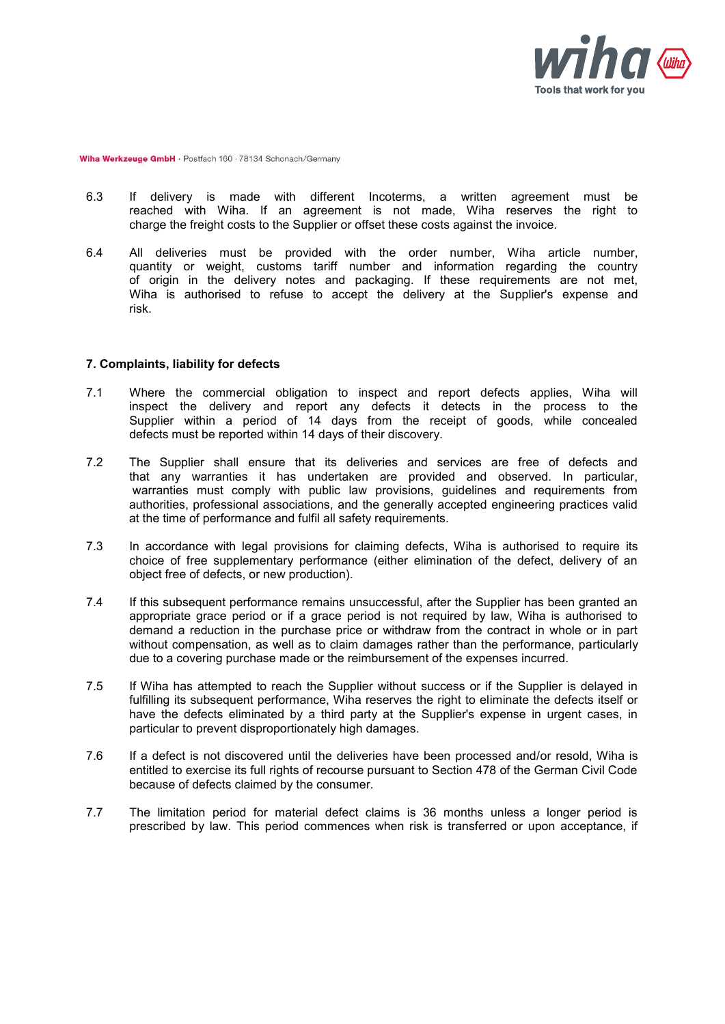

- 6.3 If delivery is made with different Incoterms, a written agreement must be reached with Wiha. If an agreement is not made, Wiha reserves the right to charge the freight costs to the Supplier or offset these costs against the invoice.
- 6.4 All deliveries must be provided with the order number, Wiha article number, quantity or weight, customs tariff number and information regarding the country of origin in the delivery notes and packaging. If these requirements are not met, Wiha is authorised to refuse to accept the delivery at the Supplier's expense and risk.

#### **7. Complaints, liability for defects**

- 7.1 Where the commercial obligation to inspect and report defects applies, Wiha will inspect the delivery and report any defects it detects in the process to the Supplier within a period of 14 days from the receipt of goods, while concealed defects must be reported within 14 days of their discovery.
- 7.2 The Supplier shall ensure that its deliveries and services are free of defects and that any warranties it has undertaken are provided and observed. In particular, warranties must comply with public law provisions, guidelines and requirements from authorities, professional associations, and the generally accepted engineering practices valid at the time of performance and fulfil all safety requirements.
- 7.3 In accordance with legal provisions for claiming defects, Wiha is authorised to require its choice of free supplementary performance (either elimination of the defect, delivery of an object free of defects, or new production).
- 7.4 If this subsequent performance remains unsuccessful, after the Supplier has been granted an appropriate grace period or if a grace period is not required by law, Wiha is authorised to demand a reduction in the purchase price or withdraw from the contract in whole or in part without compensation, as well as to claim damages rather than the performance, particularly due to a covering purchase made or the reimbursement of the expenses incurred.
- 7.5 If Wiha has attempted to reach the Supplier without success or if the Supplier is delayed in fulfilling its subsequent performance. Wiha reserves the right to eliminate the defects itself or have the defects eliminated by a third party at the Supplier's expense in urgent cases, in particular to prevent disproportionately high damages.
- 7.6 If a defect is not discovered until the deliveries have been processed and/or resold, Wiha is entitled to exercise its full rights of recourse pursuant to Section 478 of the German Civil Code because of defects claimed by the consumer.
- 7.7 The limitation period for material defect claims is 36 months unless a longer period is prescribed by law. This period commences when risk is transferred or upon acceptance, if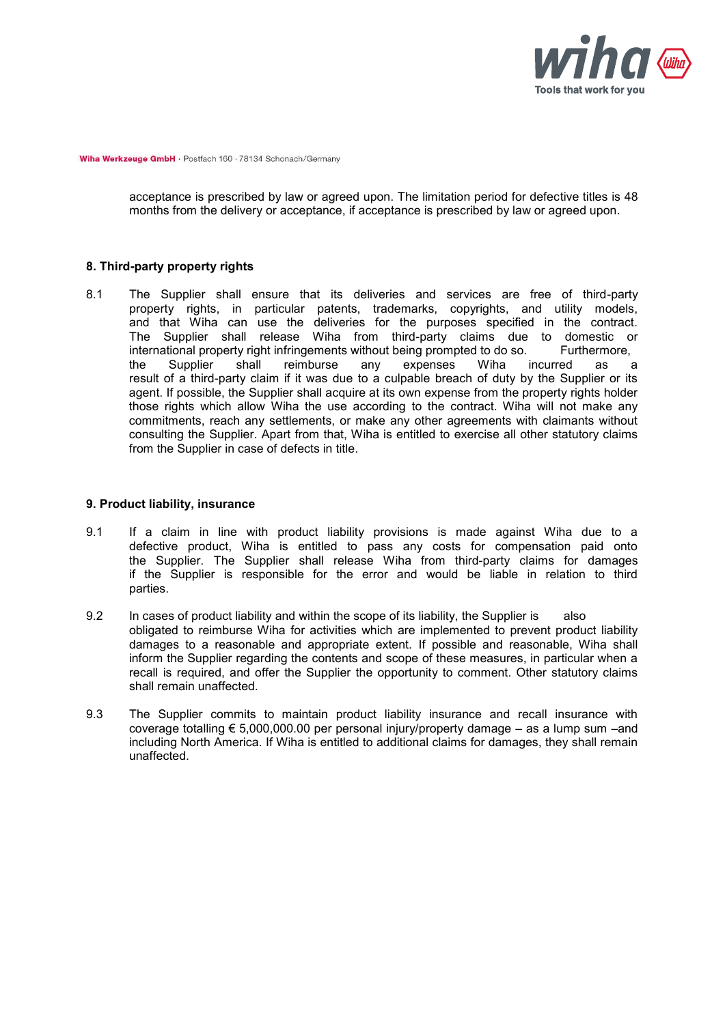

acceptance is prescribed by law or agreed upon. The limitation period for defective titles is 48 months from the delivery or acceptance, if acceptance is prescribed by law or agreed upon.

## **8. Third-party property rights**

8.1 The Supplier shall ensure that its deliveries and services are free of third-party property rights, in particular patents, trademarks, copyrights, and utility models, and that Wiha can use the deliveries for the purposes specified in the contract. The Supplier shall release Wiha from third-party claims due to domestic or international property right infringements without being prompted to do so. Furthermore, international property right infringements without being prompted to do so. Furthermore, the Supplier shall reimburse any expenses Wiha incurred as the Supplier shall reimburse any expenses Wiha incurred as a result of a third-party claim if it was due to a culpable breach of duty by the Supplier or its agent. If possible, the Supplier shall acquire at its own expense from the property rights holder those rights which allow Wiha the use according to the contract. Wiha will not make any commitments, reach any settlements, or make any other agreements with claimants without consulting the Supplier. Apart from that, Wiha is entitled to exercise all other statutory claims from the Supplier in case of defects in title.

## **9. Product liability, insurance**

- 9.1 If a claim in line with product liability provisions is made against Wiha due to a defective product, Wiha is entitled to pass any costs for compensation paid onto the Supplier. The Supplier shall release Wiha from third-party claims for damages if the Supplier is responsible for the error and would be liable in relation to third parties.
- 9.2 In cases of product liability and within the scope of its liability, the Supplier is also obligated to reimburse Wiha for activities which are implemented to prevent product liability damages to a reasonable and appropriate extent. If possible and reasonable, Wiha shall inform the Supplier regarding the contents and scope of these measures, in particular when a recall is required, and offer the Supplier the opportunity to comment. Other statutory claims shall remain unaffected.
- 9.3 The Supplier commits to maintain product liability insurance and recall insurance with coverage totalling € 5,000,000.00 per personal injury/property damage – as a lump sum –and including North America. If Wiha is entitled to additional claims for damages, they shall remain unaffected.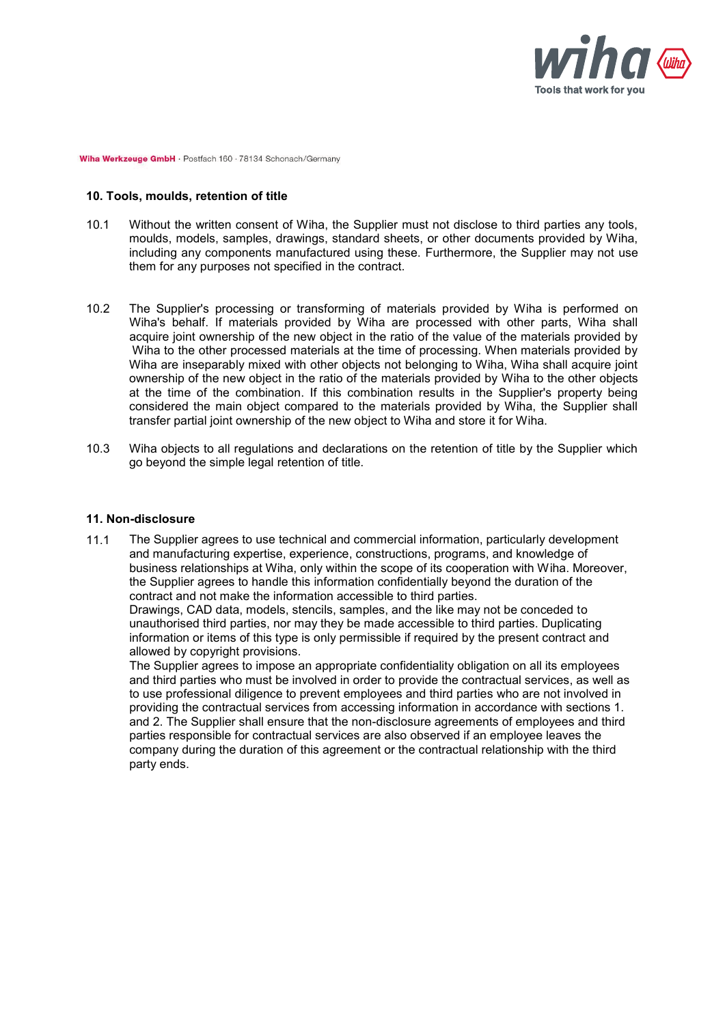

## **10. Tools, moulds, retention of title**

- 10.1 Without the written consent of Wiha, the Supplier must not disclose to third parties any tools, moulds, models, samples, drawings, standard sheets, or other documents provided by Wiha, including any components manufactured using these. Furthermore, the Supplier may not use them for any purposes not specified in the contract.
- 10.2 The Supplier's processing or transforming of materials provided by Wiha is performed on Wiha's behalf. If materials provided by Wiha are processed with other parts, Wiha shall acquire joint ownership of the new object in the ratio of the value of the materials provided by Wiha to the other processed materials at the time of processing. When materials provided by Wiha are inseparably mixed with other objects not belonging to Wiha, Wiha shall acquire joint ownership of the new object in the ratio of the materials provided by Wiha to the other objects at the time of the combination. If this combination results in the Supplier's property being considered the main object compared to the materials provided by Wiha, the Supplier shall transfer partial joint ownership of the new object to Wiha and store it for Wiha.
- 10.3 Wiha objects to all regulations and declarations on the retention of title by the Supplier which go beyond the simple legal retention of title.

#### **11. Non-disclosure**

11.1 The Supplier agrees to use technical and commercial information, particularly development and manufacturing expertise, experience, constructions, programs, and knowledge of business relationships at Wiha, only within the scope of its cooperation with Wiha. Moreover, the Supplier agrees to handle this information confidentially beyond the duration of the contract and not make the information accessible to third parties.

Drawings, CAD data, models, stencils, samples, and the like may not be conceded to unauthorised third parties, nor may they be made accessible to third parties. Duplicating information or items of this type is only permissible if required by the present contract and allowed by copyright provisions.

The Supplier agrees to impose an appropriate confidentiality obligation on all its employees and third parties who must be involved in order to provide the contractual services, as well as to use professional diligence to prevent employees and third parties who are not involved in providing the contractual services from accessing information in accordance with sections 1. and 2. The Supplier shall ensure that the non-disclosure agreements of employees and third parties responsible for contractual services are also observed if an employee leaves the company during the duration of this agreement or the contractual relationship with the third party ends.